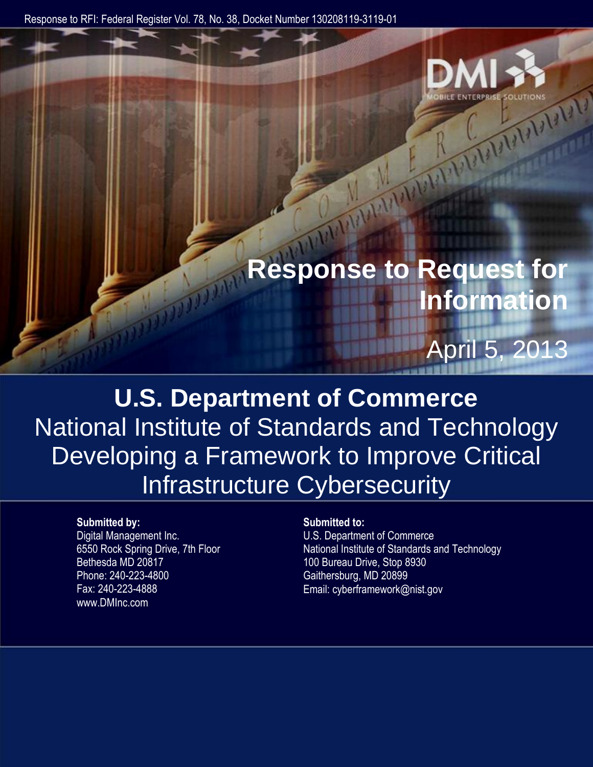Response to RFI: Federal Register Vol. 78, No. 38, Docket Number 130208119-3119-01



# **Response to Request for Information**

# April 5, 2013

**U.S. Department of Commerce** National Institute of Standards and Technology Developing a Framework to Improve Critical Infrastructure Cybersecurity

#### **Submitted by:**

Digital Management Inc. 6550 Rock Spring Drive, 7th Floor Bethesda MD 20817 Phone: 240-223-4800 Fax: 240-223-4888 www.DMInc.com

#### **Submitted to:**

U.S. Department of Commerce National Institute of Standards and Technology 100 Bureau Drive, Stop 8930 Gaithersburg, MD 20899 Email: cyberframework@nist.gov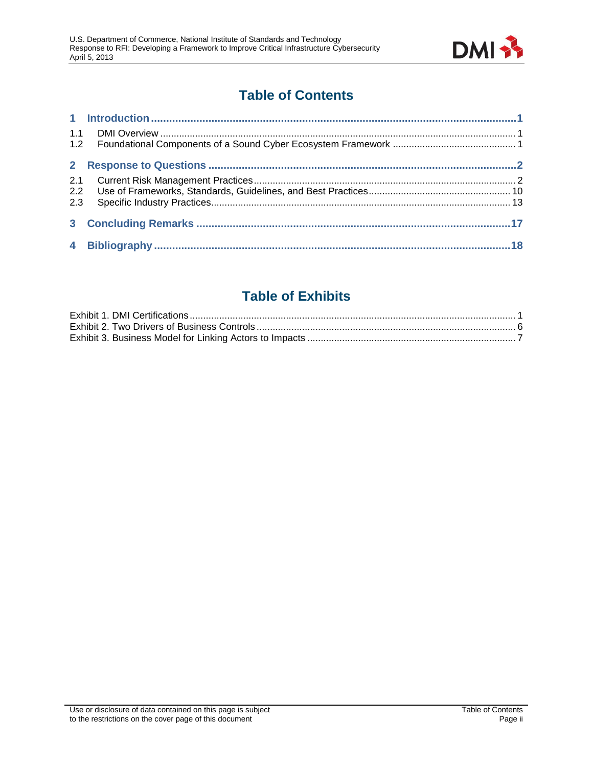

# **Table of Contents**

| 1.1 |  |
|-----|--|
|     |  |
|     |  |
| 2.1 |  |
|     |  |
| 2.3 |  |
|     |  |
|     |  |

# **Table of Exhibits**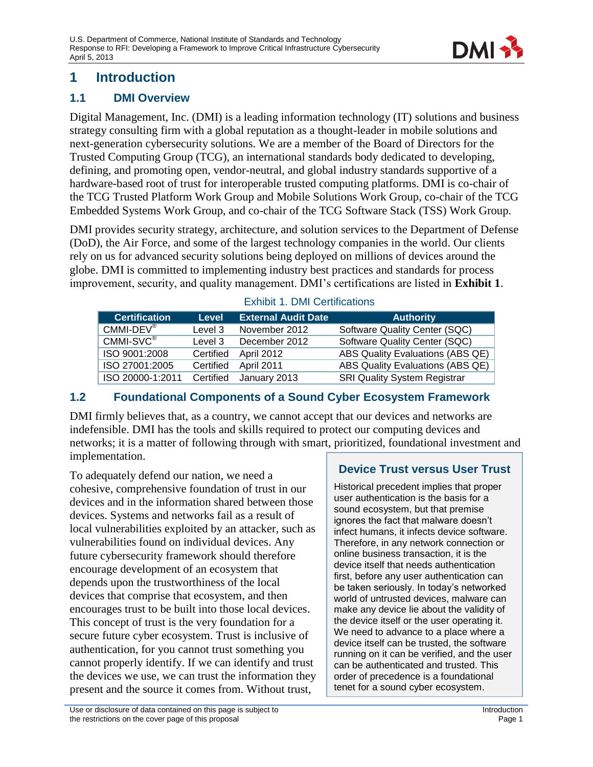

# <span id="page-2-0"></span>**1 Introduction**

### <span id="page-2-1"></span>**1.1 DMI Overview**

Digital Management, Inc. (DMI) is a leading information technology (IT) solutions and business strategy consulting firm with a global reputation as a thought-leader in mobile solutions and next-generation cybersecurity solutions. We are a member of the Board of Directors for the Trusted Computing Group (TCG), an international standards body dedicated to developing, defining, and promoting open, vendor-neutral, and global industry standards supportive of a hardware-based root of trust for interoperable trusted computing platforms. DMI is co-chair of the TCG Trusted Platform Work Group and Mobile Solutions Work Group, co-chair of the TCG Embedded Systems Work Group, and co-chair of the TCG Software Stack (TSS) Work Group.

DMI provides security strategy, architecture, and solution services to the Department of Defense (DoD), the Air Force, and some of the largest technology companies in the world. Our clients rely on us for advanced security solutions being deployed on millions of devices around the globe. DMI is committed to implementing industry best practices and standards for process improvement, security, and quality management. DMI's certifications are listed in **[Exhibit 1](#page-2-3)**.

| <b>Certification</b>   | <b>Level</b> | <b>External Audit Date</b> | <b>Authority</b>                    |
|------------------------|--------------|----------------------------|-------------------------------------|
| $CMMI-DEV^{\circledR}$ | Level 3      | November 2012              | Software Quality Center (SQC)       |
| $CMMI-SVC®$            | Level 3      | December 2012              | Software Quality Center (SQC)       |
| ISO 9001:2008          | Certified    | <b>April 2012</b>          | ABS Quality Evaluations (ABS QE)    |
| ISO 27001:2005         | Certified    | April 2011                 | ABS Quality Evaluations (ABS QE)    |
| ISO 20000-1:2011       | Certified    | January 2013               | <b>SRI Quality System Registrar</b> |

#### <span id="page-2-3"></span>Exhibit 1. DMI Certifications

#### <span id="page-2-2"></span>**1.2 Foundational Components of a Sound Cyber Ecosystem Framework**

DMI firmly believes that, as a country, we cannot accept that our devices and networks are indefensible. DMI has the tools and skills required to protect our computing devices and networks; it is a matter of following through with smart, prioritized, foundational investment and implementation.

To adequately defend our nation, we need a cohesive, comprehensive foundation of trust in our devices and in the information shared between those devices. Systems and networks fail as a result of local vulnerabilities exploited by an attacker, such as vulnerabilities found on individual devices. Any future cybersecurity framework should therefore encourage development of an ecosystem that depends upon the trustworthiness of the local devices that comprise that ecosystem, and then encourages trust to be built into those local devices. This concept of trust is the very foundation for a secure future cyber ecosystem. Trust is inclusive of authentication, for you cannot trust something you cannot properly identify. If we can identify and trust the devices we use, we can trust the information they present and the source it comes from. Without trust,

### **Device Trust versus User Trust**

Historical precedent implies that proper user authentication is the basis for a sound ecosystem, but that premise ignores the fact that malware doesn't infect humans, it infects device software. Therefore, in any network connection or online business transaction, it is the device itself that needs authentication first, before any user authentication can be taken seriously. In today's networked world of untrusted devices, malware can make any device lie about the validity of the device itself or the user operating it. We need to advance to a place where a device itself can be trusted, the software running on it can be verified, and the user can be authenticated and trusted. This order of precedence is a foundational tenet for a sound cyber ecosystem.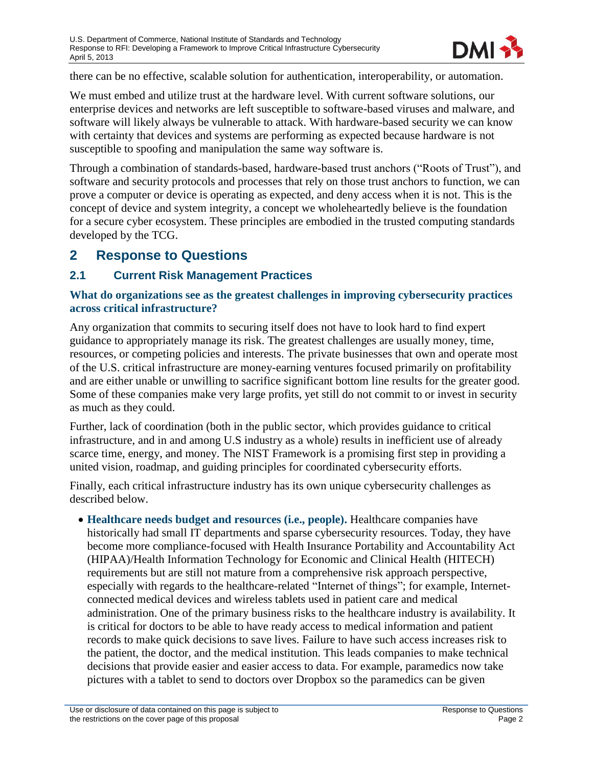

there can be no effective, scalable solution for authentication, interoperability, or automation.

We must embed and utilize trust at the hardware level. With current software solutions, our enterprise devices and networks are left susceptible to software-based viruses and malware, and software will likely always be vulnerable to attack. With hardware-based security we can know with certainty that devices and systems are performing as expected because hardware is not susceptible to spoofing and manipulation the same way software is.

Through a combination of standards-based, hardware-based trust anchors ("Roots of Trust"), and software and security protocols and processes that rely on those trust anchors to function, we can prove a computer or device is operating as expected, and deny access when it is not. This is the concept of device and system integrity, a concept we wholeheartedly believe is the foundation for a secure cyber ecosystem. These principles are embodied in the trusted computing standards developed by the TCG.

# <span id="page-3-0"></span>**2 Response to Questions**

#### <span id="page-3-1"></span>**2.1 Current Risk Management Practices**

#### **What do organizations see as the greatest challenges in improving cybersecurity practices across critical infrastructure?**

Any organization that commits to securing itself does not have to look hard to find expert guidance to appropriately manage its risk. The greatest challenges are usually money, time, resources, or competing policies and interests. The private businesses that own and operate most of the U.S. critical infrastructure are money-earning ventures focused primarily on profitability and are either unable or unwilling to sacrifice significant bottom line results for the greater good. Some of these companies make very large profits, yet still do not commit to or invest in security as much as they could.

Further, lack of coordination (both in the public sector, which provides guidance to critical infrastructure, and in and among U.S industry as a whole) results in inefficient use of already scarce time, energy, and money. The NIST Framework is a promising first step in providing a united vision, roadmap, and guiding principles for coordinated cybersecurity efforts.

Finally, each critical infrastructure industry has its own unique cybersecurity challenges as described below.

 **Healthcare needs budget and resources (i.e., people).** Healthcare companies have historically had small IT departments and sparse cybersecurity resources. Today, they have become more compliance-focused with Health Insurance Portability and Accountability Act (HIPAA)/Health Information Technology for Economic and Clinical Health (HITECH) requirements but are still not mature from a comprehensive risk approach perspective, especially with regards to the healthcare-related "Internet of things"; for example, Internetconnected medical devices and wireless tablets used in patient care and medical administration. One of the primary business risks to the healthcare industry is availability. It is critical for doctors to be able to have ready access to medical information and patient records to make quick decisions to save lives. Failure to have such access increases risk to the patient, the doctor, and the medical institution. This leads companies to make technical decisions that provide easier and easier access to data. For example, paramedics now take pictures with a tablet to send to doctors over Dropbox so the paramedics can be given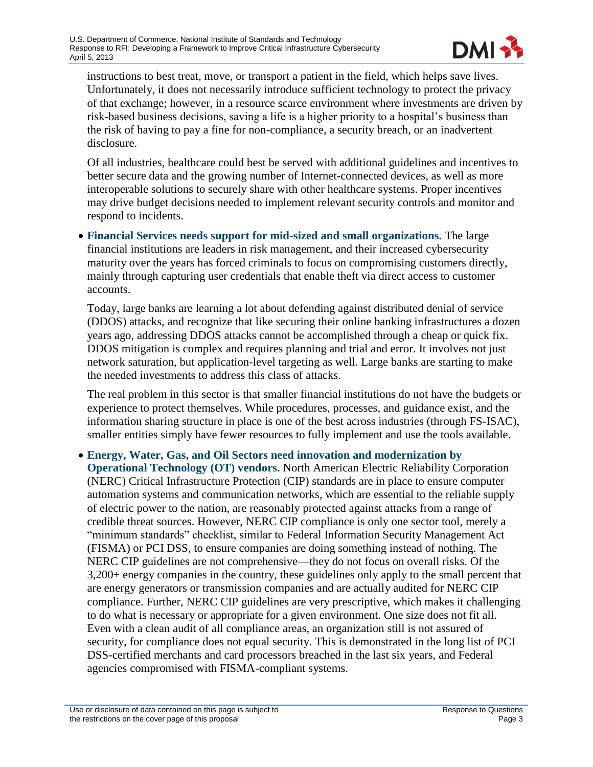

instructions to best treat, move, or transport a patient in the field, which helps save lives. Unfortunately, it does not necessarily introduce sufficient technology to protect the privacy of that exchange; however, in a resource scarce environment where investments are driven by risk-based business decisions, saving a life is a higher priority to a hospital's business than the risk of having to pay a fine for non-compliance, a security breach, or an inadvertent disclosure.

Of all industries, healthcare could best be served with additional guidelines and incentives to better secure data and the growing number of Internet-connected devices, as well as more interoperable solutions to securely share with other healthcare systems. Proper incentives may drive budget decisions needed to implement relevant security controls and monitor and respond to incidents.

 **Financial Services needs support for mid-sized and small organizations.** The large financial institutions are leaders in risk management, and their increased cybersecurity maturity over the years has forced criminals to focus on compromising customers directly, mainly through capturing user credentials that enable theft via direct access to customer accounts.

Today, large banks are learning a lot about defending against distributed denial of service (DDOS) attacks, and recognize that like securing their online banking infrastructures a dozen years ago, addressing DDOS attacks cannot be accomplished through a cheap or quick fix. DDOS mitigation is complex and requires planning and trial and error. It involves not just network saturation, but application-level targeting as well. Large banks are starting to make the needed investments to address this class of attacks.

The real problem in this sector is that smaller financial institutions do not have the budgets or experience to protect themselves. While procedures, processes, and guidance exist, and the information sharing structure in place is one of the best across industries (through FS-ISAC), smaller entities simply have fewer resources to fully implement and use the tools available.

 **Energy, Water, Gas, and Oil Sectors need innovation and modernization by Operational Technology (OT) vendors.** North American Electric Reliability Corporation (NERC) Critical Infrastructure Protection (CIP) standards are in place to ensure computer automation systems and communication networks, which are essential to the reliable supply of electric power to the nation, are reasonably protected against attacks from a range of credible threat sources. However, NERC CIP compliance is only one sector tool, merely a "minimum standards" checklist, similar to Federal Information Security Management Act (FISMA) or PCI DSS, to ensure companies are doing something instead of nothing. The NERC CIP guidelines are not comprehensive—they do not focus on overall risks. Of the 3,200+ energy companies in the country, these guidelines only apply to the small percent that are energy generators or transmission companies and are actually audited for NERC CIP compliance. Further, NERC CIP guidelines are very prescriptive, which makes it challenging to do what is necessary or appropriate for a given environment. One size does not fit all. Even with a clean audit of all compliance areas, an organization still is not assured of security, for compliance does not equal security. This is demonstrated in the long list of PCI DSS-certified merchants and card processors breached in the last six years, and Federal agencies compromised with FISMA-compliant systems.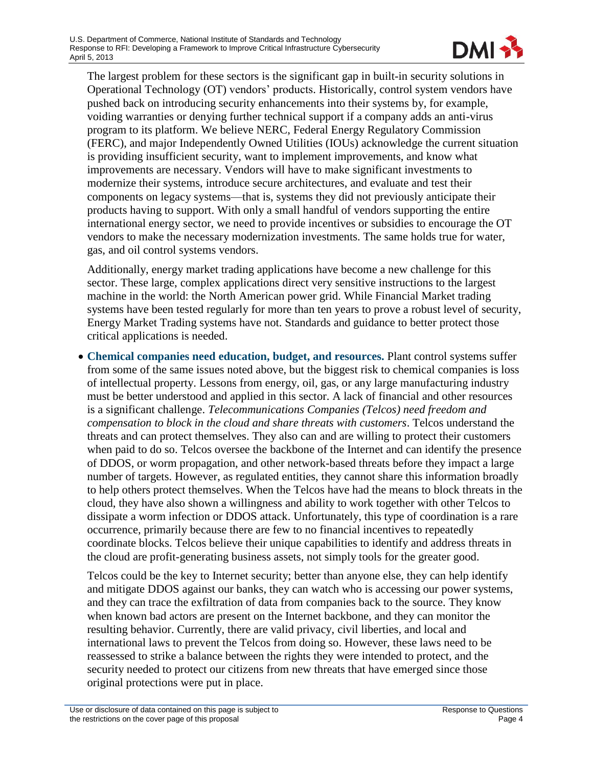

The largest problem for these sectors is the significant gap in built-in security solutions in Operational Technology (OT) vendors' products. Historically, control system vendors have pushed back on introducing security enhancements into their systems by, for example, voiding warranties or denying further technical support if a company adds an anti-virus program to its platform. We believe NERC, Federal Energy Regulatory Commission (FERC), and major Independently Owned Utilities (IOUs) acknowledge the current situation is providing insufficient security, want to implement improvements, and know what improvements are necessary. Vendors will have to make significant investments to modernize their systems, introduce secure architectures, and evaluate and test their components on legacy systems—that is, systems they did not previously anticipate their products having to support. With only a small handful of vendors supporting the entire international energy sector, we need to provide incentives or subsidies to encourage the OT vendors to make the necessary modernization investments. The same holds true for water, gas, and oil control systems vendors.

Additionally, energy market trading applications have become a new challenge for this sector. These large, complex applications direct very sensitive instructions to the largest machine in the world: the North American power grid. While Financial Market trading systems have been tested regularly for more than ten years to prove a robust level of security, Energy Market Trading systems have not. Standards and guidance to better protect those critical applications is needed.

 **Chemical companies need education, budget, and resources.** Plant control systems suffer from some of the same issues noted above, but the biggest risk to chemical companies is loss of intellectual property. Lessons from energy, oil, gas, or any large manufacturing industry must be better understood and applied in this sector. A lack of financial and other resources is a significant challenge. *Telecommunications Companies (Telcos) need freedom and compensation to block in the cloud and share threats with customers*. Telcos understand the threats and can protect themselves. They also can and are willing to protect their customers when paid to do so. Telcos oversee the backbone of the Internet and can identify the presence of DDOS, or worm propagation, and other network-based threats before they impact a large number of targets. However, as regulated entities, they cannot share this information broadly to help others protect themselves. When the Telcos have had the means to block threats in the cloud, they have also shown a willingness and ability to work together with other Telcos to dissipate a worm infection or DDOS attack. Unfortunately, this type of coordination is a rare occurrence, primarily because there are few to no financial incentives to repeatedly coordinate blocks. Telcos believe their unique capabilities to identify and address threats in the cloud are profit-generating business assets, not simply tools for the greater good.

Telcos could be the key to Internet security; better than anyone else, they can help identify and mitigate DDOS against our banks, they can watch who is accessing our power systems, and they can trace the exfiltration of data from companies back to the source. They know when known bad actors are present on the Internet backbone, and they can monitor the resulting behavior. Currently, there are valid privacy, civil liberties, and local and international laws to prevent the Telcos from doing so. However, these laws need to be reassessed to strike a balance between the rights they were intended to protect, and the security needed to protect our citizens from new threats that have emerged since those original protections were put in place.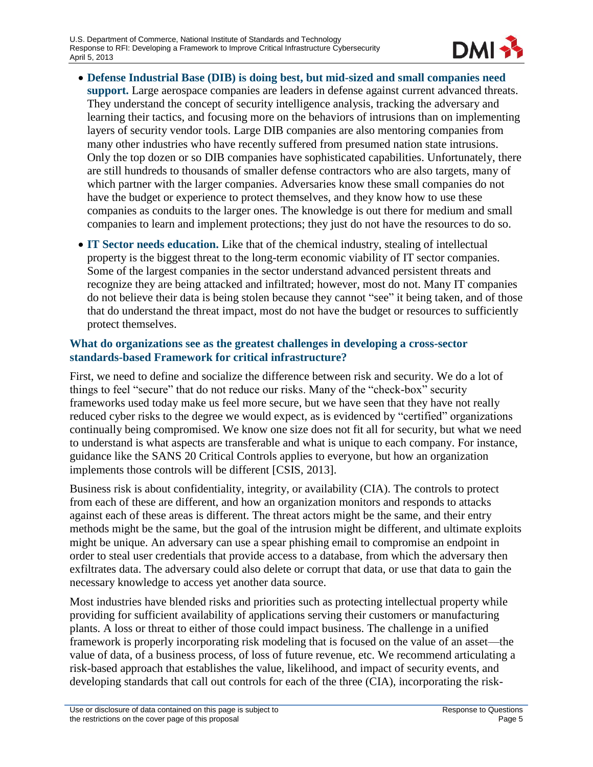

- **Defense Industrial Base (DIB) is doing best, but mid-sized and small companies need support.** Large aerospace companies are leaders in defense against current advanced threats. They understand the concept of security intelligence analysis, tracking the adversary and learning their tactics, and focusing more on the behaviors of intrusions than on implementing layers of security vendor tools. Large DIB companies are also mentoring companies from many other industries who have recently suffered from presumed nation state intrusions. Only the top dozen or so DIB companies have sophisticated capabilities. Unfortunately, there are still hundreds to thousands of smaller defense contractors who are also targets, many of which partner with the larger companies. Adversaries know these small companies do not have the budget or experience to protect themselves, and they know how to use these companies as conduits to the larger ones. The knowledge is out there for medium and small companies to learn and implement protections; they just do not have the resources to do so.
- **IT Sector needs education.** Like that of the chemical industry, stealing of intellectual property is the biggest threat to the long-term economic viability of IT sector companies. Some of the largest companies in the sector understand advanced persistent threats and recognize they are being attacked and infiltrated; however, most do not. Many IT companies do not believe their data is being stolen because they cannot "see" it being taken, and of those that do understand the threat impact, most do not have the budget or resources to sufficiently protect themselves.

#### **What do organizations see as the greatest challenges in developing a cross-sector standards-based Framework for critical infrastructure?**

First, we need to define and socialize the difference between risk and security. We do a lot of things to feel "secure" that do not reduce our risks. Many of the "check-box" security frameworks used today make us feel more secure, but we have seen that they have not really reduced cyber risks to the degree we would expect, as is evidenced by "certified" organizations continually being compromised. We know one size does not fit all for security, but what we need to understand is what aspects are transferable and what is unique to each company. For instance, guidance like the SANS 20 Critical Controls applies to everyone, but how an organization implements those controls will be different [CSIS, 2013].

Business risk is about confidentiality, integrity, or availability (CIA). The controls to protect from each of these are different, and how an organization monitors and responds to attacks against each of these areas is different. The threat actors might be the same, and their entry methods might be the same, but the goal of the intrusion might be different, and ultimate exploits might be unique. An adversary can use a spear phishing email to compromise an endpoint in order to steal user credentials that provide access to a database, from which the adversary then exfiltrates data. The adversary could also delete or corrupt that data, or use that data to gain the necessary knowledge to access yet another data source.

Most industries have blended risks and priorities such as protecting intellectual property while providing for sufficient availability of applications serving their customers or manufacturing plants. A loss or threat to either of those could impact business. The challenge in a unified framework is properly incorporating risk modeling that is focused on the value of an asset—the value of data, of a business process, of loss of future revenue, etc. We recommend articulating a risk-based approach that establishes the value, likelihood, and impact of security events, and developing standards that call out controls for each of the three (CIA), incorporating the risk-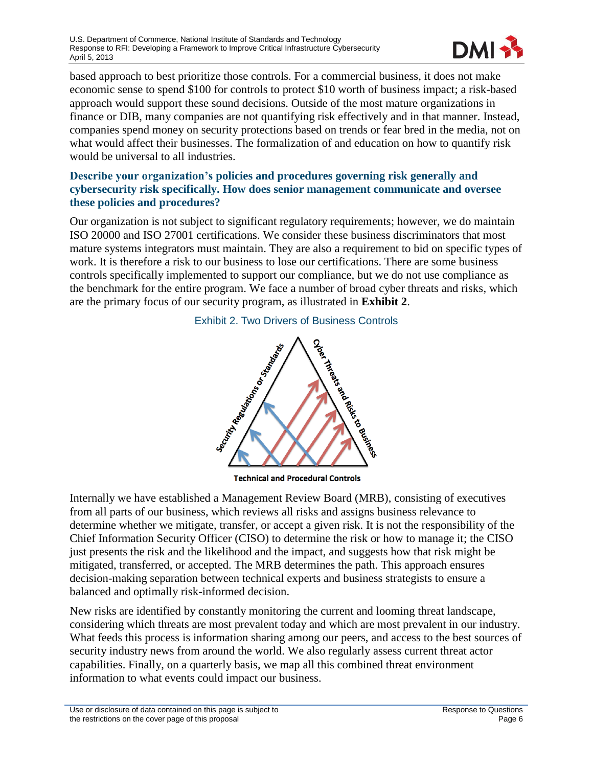

based approach to best prioritize those controls. For a commercial business, it does not make economic sense to spend \$100 for controls to protect \$10 worth of business impact; a risk-based approach would support these sound decisions. Outside of the most mature organizations in finance or DIB, many companies are not quantifying risk effectively and in that manner. Instead, companies spend money on security protections based on trends or fear bred in the media, not on what would affect their businesses. The formalization of and education on how to quantify risk would be universal to all industries.

#### **Describe your organization's policies and procedures governing risk generally and cybersecurity risk specifically. How does senior management communicate and oversee these policies and procedures?**

<span id="page-7-0"></span>Our organization is not subject to significant regulatory requirements; however, we do maintain ISO 20000 and ISO 27001 certifications. We consider these business discriminators that most mature systems integrators must maintain. They are also a requirement to bid on specific types of work. It is therefore a risk to our business to lose our certifications. There are some business controls specifically implemented to support our compliance, but we do not use compliance as the benchmark for the entire program. We face a number of broad cyber threats and risks, which are the primary focus of our security program, as illustrated in **[Exhibit 2](#page-7-0)**.



**Technical and Procedural Controls** 

Internally we have established a Management Review Board (MRB), consisting of executives from all parts of our business, which reviews all risks and assigns business relevance to determine whether we mitigate, transfer, or accept a given risk. It is not the responsibility of the Chief Information Security Officer (CISO) to determine the risk or how to manage it; the CISO just presents the risk and the likelihood and the impact, and suggests how that risk might be mitigated, transferred, or accepted. The MRB determines the path. This approach ensures decision-making separation between technical experts and business strategists to ensure a balanced and optimally risk-informed decision.

New risks are identified by constantly monitoring the current and looming threat landscape, considering which threats are most prevalent today and which are most prevalent in our industry. What feeds this process is information sharing among our peers, and access to the best sources of security industry news from around the world. We also regularly assess current threat actor capabilities. Finally, on a quarterly basis, we map all this combined threat environment information to what events could impact our business.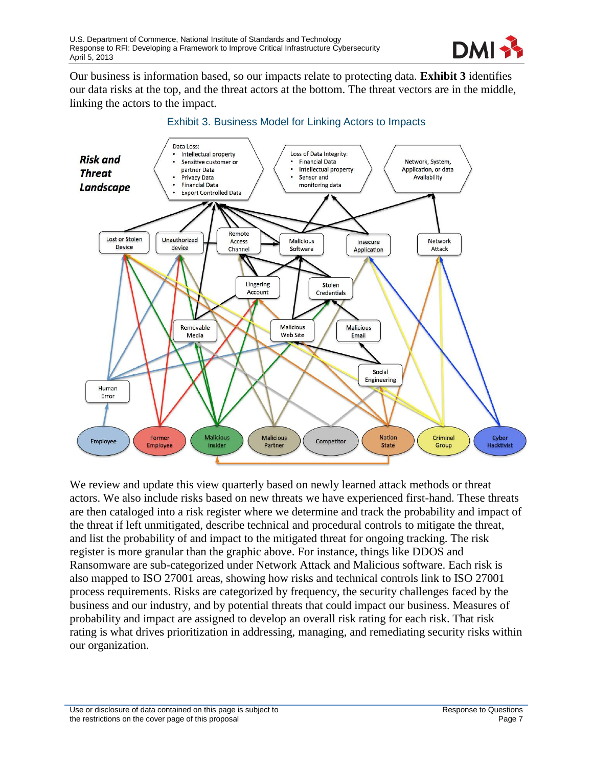

Our business is information based, so our impacts relate to protecting data. **[Exhibit 3](#page-8-0)** identifies our data risks at the top, and the threat actors at the bottom. The threat vectors are in the middle, linking the actors to the impact.

<span id="page-8-0"></span>

#### Exhibit 3. Business Model for Linking Actors to Impacts

We review and update this view quarterly based on newly learned attack methods or threat actors. We also include risks based on new threats we have experienced first-hand. These threats are then cataloged into a risk register where we determine and track the probability and impact of the threat if left unmitigated, describe technical and procedural controls to mitigate the threat, and list the probability of and impact to the mitigated threat for ongoing tracking. The risk register is more granular than the graphic above. For instance, things like DDOS and Ransomware are sub-categorized under Network Attack and Malicious software. Each risk is also mapped to ISO 27001 areas, showing how risks and technical controls link to ISO 27001 process requirements. Risks are categorized by frequency, the security challenges faced by the business and our industry, and by potential threats that could impact our business. Measures of probability and impact are assigned to develop an overall risk rating for each risk. That risk rating is what drives prioritization in addressing, managing, and remediating security risks within our organization.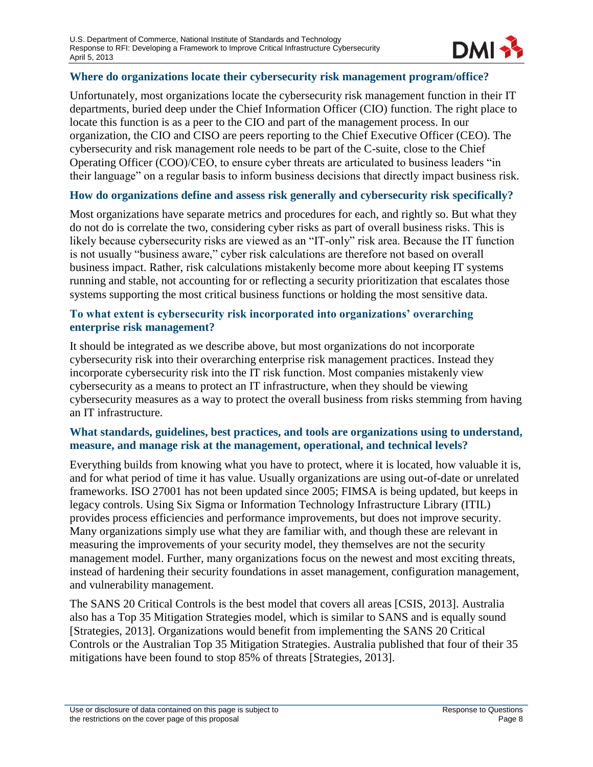

#### **Where do organizations locate their cybersecurity risk management program/office?**

Unfortunately, most organizations locate the cybersecurity risk management function in their IT departments, buried deep under the Chief Information Officer (CIO) function. The right place to locate this function is as a peer to the CIO and part of the management process. In our organization, the CIO and CISO are peers reporting to the Chief Executive Officer (CEO). The cybersecurity and risk management role needs to be part of the C-suite, close to the Chief Operating Officer (COO)/CEO, to ensure cyber threats are articulated to business leaders "in their language" on a regular basis to inform business decisions that directly impact business risk.

#### **How do organizations define and assess risk generally and cybersecurity risk specifically?**

Most organizations have separate metrics and procedures for each, and rightly so. But what they do not do is correlate the two, considering cyber risks as part of overall business risks. This is likely because cybersecurity risks are viewed as an "IT-only" risk area. Because the IT function is not usually "business aware," cyber risk calculations are therefore not based on overall business impact. Rather, risk calculations mistakenly become more about keeping IT systems running and stable, not accounting for or reflecting a security prioritization that escalates those systems supporting the most critical business functions or holding the most sensitive data.

#### **To what extent is cybersecurity risk incorporated into organizations' overarching enterprise risk management?**

It should be integrated as we describe above, but most organizations do not incorporate cybersecurity risk into their overarching enterprise risk management practices. Instead they incorporate cybersecurity risk into the IT risk function. Most companies mistakenly view cybersecurity as a means to protect an IT infrastructure, when they should be viewing cybersecurity measures as a way to protect the overall business from risks stemming from having an IT infrastructure.

#### **What standards, guidelines, best practices, and tools are organizations using to understand, measure, and manage risk at the management, operational, and technical levels?**

Everything builds from knowing what you have to protect, where it is located, how valuable it is, and for what period of time it has value. Usually organizations are using out-of-date or unrelated frameworks. ISO 27001 has not been updated since 2005; FIMSA is being updated, but keeps in legacy controls. Using Six Sigma or Information Technology Infrastructure Library (ITIL) provides process efficiencies and performance improvements, but does not improve security. Many organizations simply use what they are familiar with, and though these are relevant in measuring the improvements of your security model, they themselves are not the security management model. Further, many organizations focus on the newest and most exciting threats, instead of hardening their security foundations in asset management, configuration management, and vulnerability management.

The SANS 20 Critical Controls is the best model that covers all areas [CSIS, 2013]. Australia also has a Top 35 Mitigation Strategies model, which is similar to SANS and is equally sound [Strategies, 2013]. Organizations would benefit from implementing the SANS 20 Critical Controls or the Australian Top 35 Mitigation Strategies. Australia published that four of their 35 mitigations have been found to stop 85% of threats [Strategies, 2013].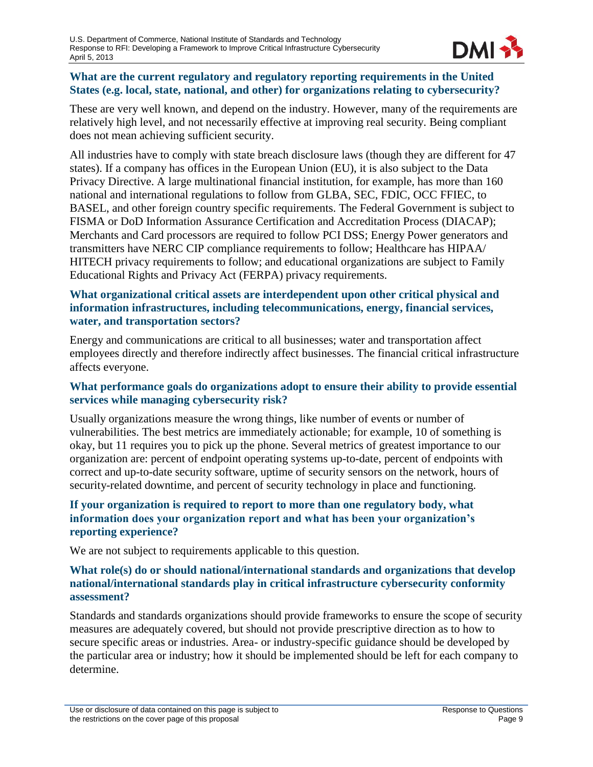

#### **What are the current regulatory and regulatory reporting requirements in the United States (e.g. local, state, national, and other) for organizations relating to cybersecurity?**

These are very well known, and depend on the industry. However, many of the requirements are relatively high level, and not necessarily effective at improving real security. Being compliant does not mean achieving sufficient security.

All industries have to comply with state breach disclosure laws (though they are different for 47 states). If a company has offices in the European Union (EU), it is also subject to the Data Privacy Directive. A large multinational financial institution, for example, has more than 160 national and international regulations to follow from GLBA, SEC, FDIC, OCC FFIEC, to BASEL, and other foreign country specific requirements. The Federal Government is subject to FISMA or DoD Information Assurance Certification and Accreditation Process (DIACAP); Merchants and Card processors are required to follow PCI DSS; Energy Power generators and transmitters have NERC CIP compliance requirements to follow; Healthcare has HIPAA/ HITECH privacy requirements to follow; and educational organizations are subject to Family Educational Rights and Privacy Act (FERPA) privacy requirements.

#### **What organizational critical assets are interdependent upon other critical physical and information infrastructures, including telecommunications, energy, financial services, water, and transportation sectors?**

Energy and communications are critical to all businesses; water and transportation affect employees directly and therefore indirectly affect businesses. The financial critical infrastructure affects everyone.

#### **What performance goals do organizations adopt to ensure their ability to provide essential services while managing cybersecurity risk?**

Usually organizations measure the wrong things, like number of events or number of vulnerabilities. The best metrics are immediately actionable; for example, 10 of something is okay, but 11 requires you to pick up the phone. Several metrics of greatest importance to our organization are: percent of endpoint operating systems up-to-date, percent of endpoints with correct and up-to-date security software, uptime of security sensors on the network, hours of security-related downtime, and percent of security technology in place and functioning.

#### **If your organization is required to report to more than one regulatory body, what information does your organization report and what has been your organization's reporting experience?**

We are not subject to requirements applicable to this question.

#### **What role(s) do or should national/international standards and organizations that develop national/international standards play in critical infrastructure cybersecurity conformity assessment?**

Standards and standards organizations should provide frameworks to ensure the scope of security measures are adequately covered, but should not provide prescriptive direction as to how to secure specific areas or industries. Area- or industry-specific guidance should be developed by the particular area or industry; how it should be implemented should be left for each company to determine.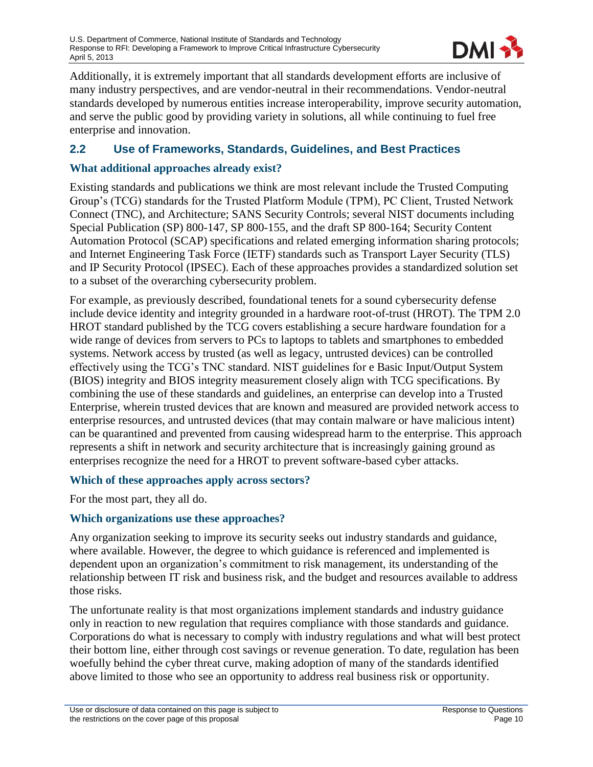

Additionally, it is extremely important that all standards development efforts are inclusive of many industry perspectives, and are vendor-neutral in their recommendations. Vendor-neutral standards developed by numerous entities increase interoperability, improve security automation, and serve the public good by providing variety in solutions, all while continuing to fuel free enterprise and innovation.

#### <span id="page-11-0"></span>**2.2 Use of Frameworks, Standards, Guidelines, and Best Practices**

#### **What additional approaches already exist?**

Existing standards and publications we think are most relevant include the Trusted Computing Group's (TCG) standards for the Trusted Platform Module (TPM), PC Client, Trusted Network Connect (TNC), and Architecture; SANS Security Controls; several NIST documents including Special Publication (SP) 800-147, SP 800-155, and the draft SP 800-164; Security Content Automation Protocol (SCAP) specifications and related emerging information sharing protocols; and Internet Engineering Task Force (IETF) standards such as Transport Layer Security (TLS) and IP Security Protocol (IPSEC). Each of these approaches provides a standardized solution set to a subset of the overarching cybersecurity problem.

For example, as previously described, foundational tenets for a sound cybersecurity defense include device identity and integrity grounded in a hardware root-of-trust (HROT). The TPM 2.0 HROT standard published by the TCG covers establishing a secure hardware foundation for a wide range of devices from servers to PCs to laptops to tablets and smartphones to embedded systems. Network access by trusted (as well as legacy, untrusted devices) can be controlled effectively using the TCG's TNC standard. NIST guidelines for e Basic Input/Output System (BIOS) integrity and BIOS integrity measurement closely align with TCG specifications. By combining the use of these standards and guidelines, an enterprise can develop into a Trusted Enterprise, wherein trusted devices that are known and measured are provided network access to enterprise resources, and untrusted devices (that may contain malware or have malicious intent) can be quarantined and prevented from causing widespread harm to the enterprise. This approach represents a shift in network and security architecture that is increasingly gaining ground as enterprises recognize the need for a HROT to prevent software-based cyber attacks.

#### **Which of these approaches apply across sectors?**

For the most part, they all do.

#### **Which organizations use these approaches?**

Any organization seeking to improve its security seeks out industry standards and guidance, where available. However, the degree to which guidance is referenced and implemented is dependent upon an organization's commitment to risk management, its understanding of the relationship between IT risk and business risk, and the budget and resources available to address those risks.

The unfortunate reality is that most organizations implement standards and industry guidance only in reaction to new regulation that requires compliance with those standards and guidance. Corporations do what is necessary to comply with industry regulations and what will best protect their bottom line, either through cost savings or revenue generation. To date, regulation has been woefully behind the cyber threat curve, making adoption of many of the standards identified above limited to those who see an opportunity to address real business risk or opportunity.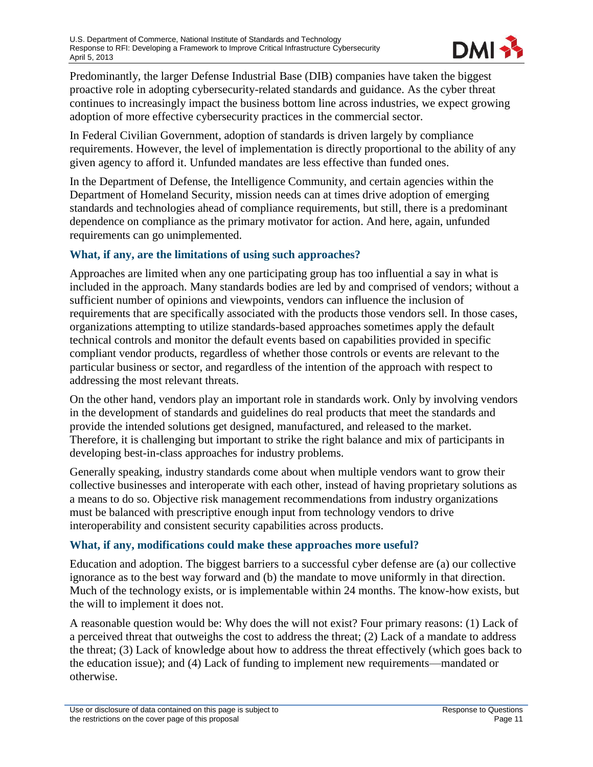

Predominantly, the larger Defense Industrial Base (DIB) companies have taken the biggest proactive role in adopting cybersecurity-related standards and guidance. As the cyber threat continues to increasingly impact the business bottom line across industries, we expect growing adoption of more effective cybersecurity practices in the commercial sector.

In Federal Civilian Government, adoption of standards is driven largely by compliance requirements. However, the level of implementation is directly proportional to the ability of any given agency to afford it. Unfunded mandates are less effective than funded ones.

In the Department of Defense, the Intelligence Community, and certain agencies within the Department of Homeland Security, mission needs can at times drive adoption of emerging standards and technologies ahead of compliance requirements, but still, there is a predominant dependence on compliance as the primary motivator for action. And here, again, unfunded requirements can go unimplemented.

#### **What, if any, are the limitations of using such approaches?**

Approaches are limited when any one participating group has too influential a say in what is included in the approach. Many standards bodies are led by and comprised of vendors; without a sufficient number of opinions and viewpoints, vendors can influence the inclusion of requirements that are specifically associated with the products those vendors sell. In those cases, organizations attempting to utilize standards-based approaches sometimes apply the default technical controls and monitor the default events based on capabilities provided in specific compliant vendor products, regardless of whether those controls or events are relevant to the particular business or sector, and regardless of the intention of the approach with respect to addressing the most relevant threats.

On the other hand, vendors play an important role in standards work. Only by involving vendors in the development of standards and guidelines do real products that meet the standards and provide the intended solutions get designed, manufactured, and released to the market. Therefore, it is challenging but important to strike the right balance and mix of participants in developing best-in-class approaches for industry problems.

Generally speaking, industry standards come about when multiple vendors want to grow their collective businesses and interoperate with each other, instead of having proprietary solutions as a means to do so. Objective risk management recommendations from industry organizations must be balanced with prescriptive enough input from technology vendors to drive interoperability and consistent security capabilities across products.

#### **What, if any, modifications could make these approaches more useful?**

Education and adoption. The biggest barriers to a successful cyber defense are (a) our collective ignorance as to the best way forward and (b) the mandate to move uniformly in that direction. Much of the technology exists, or is implementable within 24 months. The know-how exists, but the will to implement it does not.

A reasonable question would be: Why does the will not exist? Four primary reasons: (1) Lack of a perceived threat that outweighs the cost to address the threat; (2) Lack of a mandate to address the threat; (3) Lack of knowledge about how to address the threat effectively (which goes back to the education issue); and (4) Lack of funding to implement new requirements—mandated or otherwise.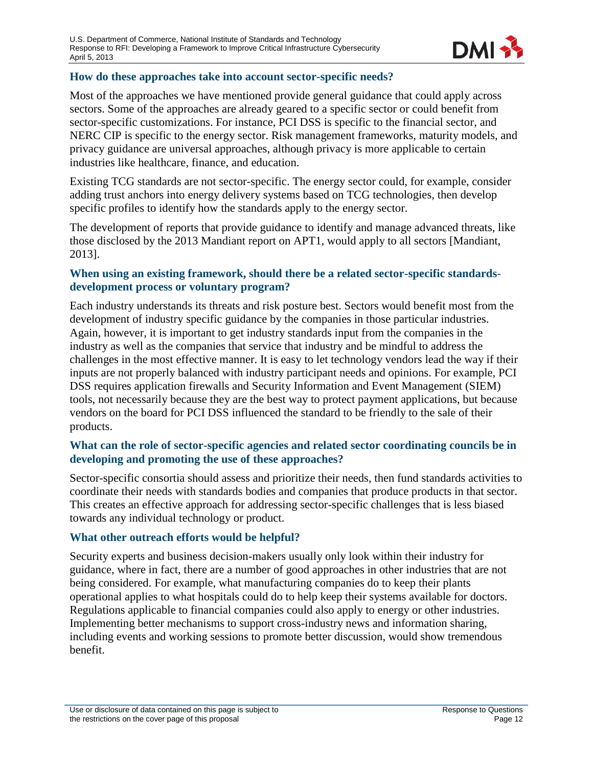

#### **How do these approaches take into account sector-specific needs?**

Most of the approaches we have mentioned provide general guidance that could apply across sectors. Some of the approaches are already geared to a specific sector or could benefit from sector-specific customizations. For instance, PCI DSS is specific to the financial sector, and NERC CIP is specific to the energy sector. Risk management frameworks, maturity models, and privacy guidance are universal approaches, although privacy is more applicable to certain industries like healthcare, finance, and education.

Existing TCG standards are not sector-specific. The energy sector could, for example, consider adding trust anchors into energy delivery systems based on TCG technologies, then develop specific profiles to identify how the standards apply to the energy sector.

The development of reports that provide guidance to identify and manage advanced threats, like those disclosed by the 2013 Mandiant report on APT1, would apply to all sectors [Mandiant, 2013].

#### **When using an existing framework, should there be a related sector-specific standardsdevelopment process or voluntary program?**

Each industry understands its threats and risk posture best. Sectors would benefit most from the development of industry specific guidance by the companies in those particular industries. Again, however, it is important to get industry standards input from the companies in the industry as well as the companies that service that industry and be mindful to address the challenges in the most effective manner. It is easy to let technology vendors lead the way if their inputs are not properly balanced with industry participant needs and opinions. For example, PCI DSS requires application firewalls and Security Information and Event Management (SIEM) tools, not necessarily because they are the best way to protect payment applications, but because vendors on the board for PCI DSS influenced the standard to be friendly to the sale of their products.

#### **What can the role of sector-specific agencies and related sector coordinating councils be in developing and promoting the use of these approaches?**

Sector-specific consortia should assess and prioritize their needs, then fund standards activities to coordinate their needs with standards bodies and companies that produce products in that sector. This creates an effective approach for addressing sector-specific challenges that is less biased towards any individual technology or product.

#### **What other outreach efforts would be helpful?**

Security experts and business decision-makers usually only look within their industry for guidance, where in fact, there are a number of good approaches in other industries that are not being considered. For example, what manufacturing companies do to keep their plants operational applies to what hospitals could do to help keep their systems available for doctors. Regulations applicable to financial companies could also apply to energy or other industries. Implementing better mechanisms to support cross-industry news and information sharing, including events and working sessions to promote better discussion, would show tremendous benefit.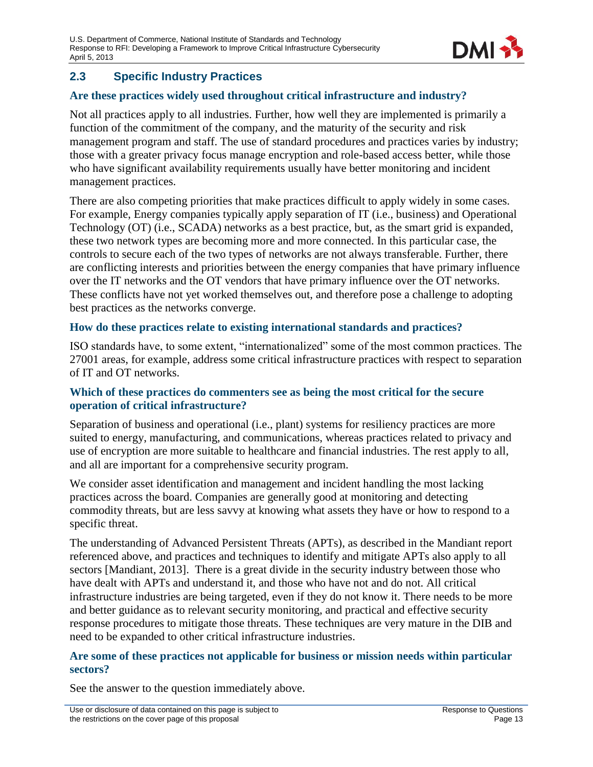

# <span id="page-14-0"></span>**2.3 Specific Industry Practices**

### **Are these practices widely used throughout critical infrastructure and industry?**

Not all practices apply to all industries. Further, how well they are implemented is primarily a function of the commitment of the company, and the maturity of the security and risk management program and staff. The use of standard procedures and practices varies by industry; those with a greater privacy focus manage encryption and role-based access better, while those who have significant availability requirements usually have better monitoring and incident management practices.

There are also competing priorities that make practices difficult to apply widely in some cases. For example, Energy companies typically apply separation of IT (i.e., business) and Operational Technology (OT) (i.e., SCADA) networks as a best practice, but, as the smart grid is expanded, these two network types are becoming more and more connected. In this particular case, the controls to secure each of the two types of networks are not always transferable. Further, there are conflicting interests and priorities between the energy companies that have primary influence over the IT networks and the OT vendors that have primary influence over the OT networks. These conflicts have not yet worked themselves out, and therefore pose a challenge to adopting best practices as the networks converge.

#### **How do these practices relate to existing international standards and practices?**

ISO standards have, to some extent, "internationalized" some of the most common practices. The 27001 areas, for example, address some critical infrastructure practices with respect to separation of IT and OT networks.

#### **Which of these practices do commenters see as being the most critical for the secure operation of critical infrastructure?**

Separation of business and operational (i.e., plant) systems for resiliency practices are more suited to energy, manufacturing, and communications, whereas practices related to privacy and use of encryption are more suitable to healthcare and financial industries. The rest apply to all, and all are important for a comprehensive security program.

We consider asset identification and management and incident handling the most lacking practices across the board. Companies are generally good at monitoring and detecting commodity threats, but are less savvy at knowing what assets they have or how to respond to a specific threat.

The understanding of Advanced Persistent Threats (APTs), as described in the Mandiant report referenced above, and practices and techniques to identify and mitigate APTs also apply to all sectors [Mandiant, 2013]. There is a great divide in the security industry between those who have dealt with APTs and understand it, and those who have not and do not. All critical infrastructure industries are being targeted, even if they do not know it. There needs to be more and better guidance as to relevant security monitoring, and practical and effective security response procedures to mitigate those threats. These techniques are very mature in the DIB and need to be expanded to other critical infrastructure industries.

#### **Are some of these practices not applicable for business or mission needs within particular sectors?**

See the answer to the question immediately above.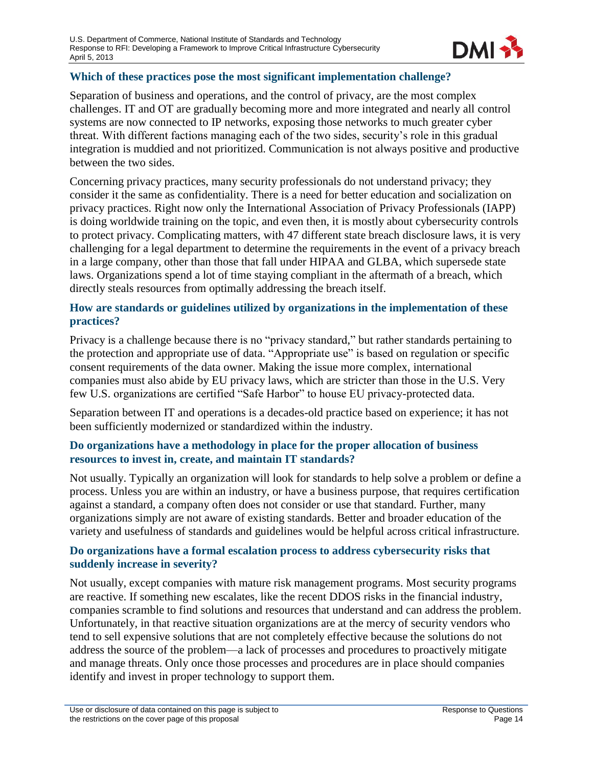

#### **Which of these practices pose the most significant implementation challenge?**

Separation of business and operations, and the control of privacy, are the most complex challenges. IT and OT are gradually becoming more and more integrated and nearly all control systems are now connected to IP networks, exposing those networks to much greater cyber threat. With different factions managing each of the two sides, security's role in this gradual integration is muddied and not prioritized. Communication is not always positive and productive between the two sides.

Concerning privacy practices, many security professionals do not understand privacy; they consider it the same as confidentiality. There is a need for better education and socialization on privacy practices. Right now only the International Association of Privacy Professionals (IAPP) is doing worldwide training on the topic, and even then, it is mostly about cybersecurity controls to protect privacy. Complicating matters, with 47 different state breach disclosure laws, it is very challenging for a legal department to determine the requirements in the event of a privacy breach in a large company, other than those that fall under HIPAA and GLBA, which supersede state laws. Organizations spend a lot of time staying compliant in the aftermath of a breach, which directly steals resources from optimally addressing the breach itself.

#### **How are standards or guidelines utilized by organizations in the implementation of these practices?**

Privacy is a challenge because there is no "privacy standard," but rather standards pertaining to the protection and appropriate use of data. "Appropriate use" is based on regulation or specific consent requirements of the data owner. Making the issue more complex, international companies must also abide by EU privacy laws, which are stricter than those in the U.S. Very few U.S. organizations are certified "Safe Harbor" to house EU privacy-protected data.

Separation between IT and operations is a decades-old practice based on experience; it has not been sufficiently modernized or standardized within the industry.

#### **Do organizations have a methodology in place for the proper allocation of business resources to invest in, create, and maintain IT standards?**

Not usually. Typically an organization will look for standards to help solve a problem or define a process. Unless you are within an industry, or have a business purpose, that requires certification against a standard, a company often does not consider or use that standard. Further, many organizations simply are not aware of existing standards. Better and broader education of the variety and usefulness of standards and guidelines would be helpful across critical infrastructure.

#### **Do organizations have a formal escalation process to address cybersecurity risks that suddenly increase in severity?**

Not usually, except companies with mature risk management programs. Most security programs are reactive. If something new escalates, like the recent DDOS risks in the financial industry, companies scramble to find solutions and resources that understand and can address the problem. Unfortunately, in that reactive situation organizations are at the mercy of security vendors who tend to sell expensive solutions that are not completely effective because the solutions do not address the source of the problem—a lack of processes and procedures to proactively mitigate and manage threats. Only once those processes and procedures are in place should companies identify and invest in proper technology to support them.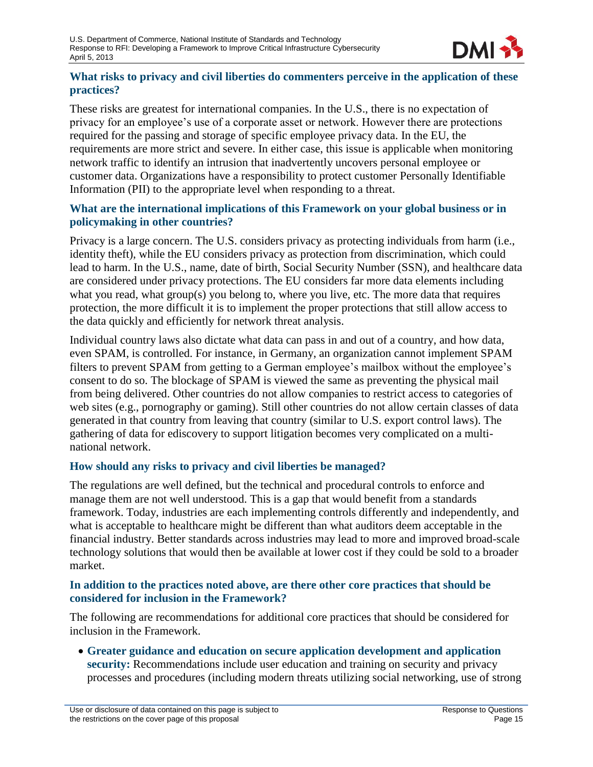

#### **What risks to privacy and civil liberties do commenters perceive in the application of these practices?**

These risks are greatest for international companies. In the U.S., there is no expectation of privacy for an employee's use of a corporate asset or network. However there are protections required for the passing and storage of specific employee privacy data. In the EU, the requirements are more strict and severe. In either case, this issue is applicable when monitoring network traffic to identify an intrusion that inadvertently uncovers personal employee or customer data. Organizations have a responsibility to protect customer Personally Identifiable Information (PII) to the appropriate level when responding to a threat.

#### **What are the international implications of this Framework on your global business or in policymaking in other countries?**

Privacy is a large concern. The U.S. considers privacy as protecting individuals from harm (i.e., identity theft), while the EU considers privacy as protection from discrimination, which could lead to harm. In the U.S., name, date of birth, Social Security Number (SSN), and healthcare data are considered under privacy protections. The EU considers far more data elements including what you read, what group(s) you belong to, where you live, etc. The more data that requires protection, the more difficult it is to implement the proper protections that still allow access to the data quickly and efficiently for network threat analysis.

Individual country laws also dictate what data can pass in and out of a country, and how data, even SPAM, is controlled. For instance, in Germany, an organization cannot implement SPAM filters to prevent SPAM from getting to a German employee's mailbox without the employee's consent to do so. The blockage of SPAM is viewed the same as preventing the physical mail from being delivered. Other countries do not allow companies to restrict access to categories of web sites (e.g., pornography or gaming). Still other countries do not allow certain classes of data generated in that country from leaving that country (similar to U.S. export control laws). The gathering of data for ediscovery to support litigation becomes very complicated on a multinational network.

#### **How should any risks to privacy and civil liberties be managed?**

The regulations are well defined, but the technical and procedural controls to enforce and manage them are not well understood. This is a gap that would benefit from a standards framework. Today, industries are each implementing controls differently and independently, and what is acceptable to healthcare might be different than what auditors deem acceptable in the financial industry. Better standards across industries may lead to more and improved broad-scale technology solutions that would then be available at lower cost if they could be sold to a broader market.

#### **In addition to the practices noted above, are there other core practices that should be considered for inclusion in the Framework?**

The following are recommendations for additional core practices that should be considered for inclusion in the Framework.

 **Greater guidance and education on secure application development and application security:** Recommendations include user education and training on security and privacy processes and procedures (including modern threats utilizing social networking, use of strong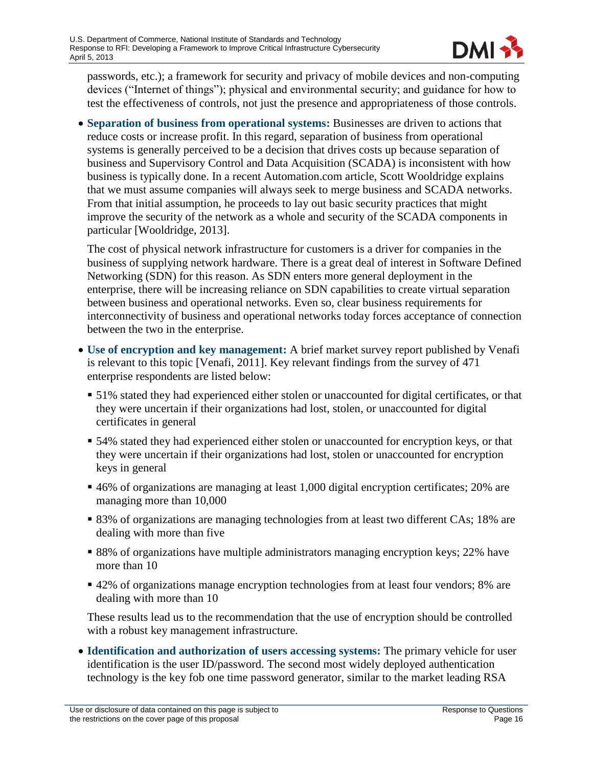

passwords, etc.); a framework for security and privacy of mobile devices and non-computing devices ("Internet of things"); physical and environmental security; and guidance for how to test the effectiveness of controls, not just the presence and appropriateness of those controls.

 **Separation of business from operational systems:** Businesses are driven to actions that reduce costs or increase profit. In this regard, separation of business from operational systems is generally perceived to be a decision that drives costs up because separation of business and Supervisory Control and Data Acquisition (SCADA) is inconsistent with how business is typically done. In a recent Automation.com article, Scott Wooldridge explains that we must assume companies will always seek to merge business and SCADA networks. From that initial assumption, he proceeds to lay out basic security practices that might improve the security of the network as a whole and security of the SCADA components in particular [Wooldridge, 2013].

The cost of physical network infrastructure for customers is a driver for companies in the business of supplying network hardware. There is a great deal of interest in Software Defined Networking (SDN) for this reason. As SDN enters more general deployment in the enterprise, there will be increasing reliance on SDN capabilities to create virtual separation between business and operational networks. Even so, clear business requirements for interconnectivity of business and operational networks today forces acceptance of connection between the two in the enterprise.

- **Use of encryption and key management:** A brief market survey report published by Venafi is relevant to this topic [Venafi, 2011]. Key relevant findings from the survey of 471 enterprise respondents are listed below:
	- 51% stated they had experienced either stolen or unaccounted for digital certificates, or that they were uncertain if their organizations had lost, stolen, or unaccounted for digital certificates in general
	- 54% stated they had experienced either stolen or unaccounted for encryption keys, or that they were uncertain if their organizations had lost, stolen or unaccounted for encryption keys in general
	- 46% of organizations are managing at least 1,000 digital encryption certificates; 20% are managing more than 10,000
	- 83% of organizations are managing technologies from at least two different CAs; 18% are dealing with more than five
	- 88% of organizations have multiple administrators managing encryption keys; 22% have more than 10
	- 42% of organizations manage encryption technologies from at least four vendors; 8% are dealing with more than 10

These results lead us to the recommendation that the use of encryption should be controlled with a robust key management infrastructure.

 **Identification and authorization of users accessing systems:** The primary vehicle for user identification is the user ID/password. The second most widely deployed authentication technology is the key fob one time password generator, similar to the market leading RSA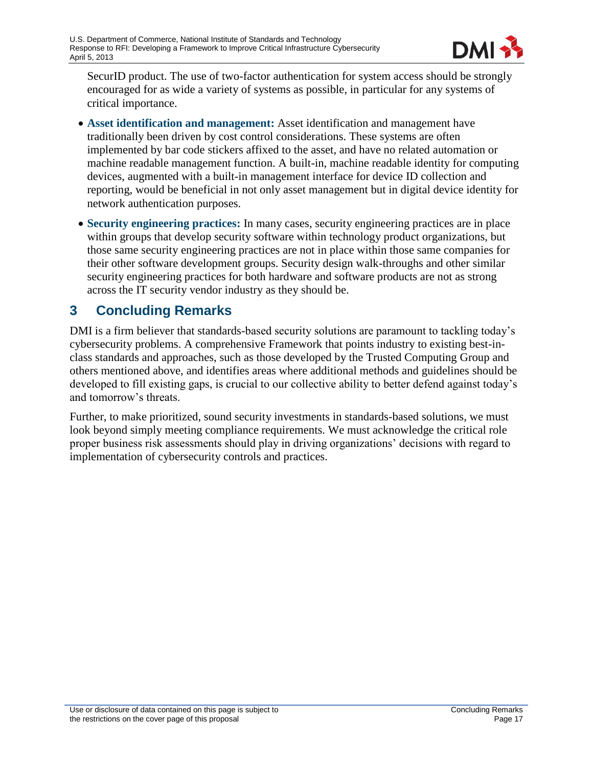

SecurID product. The use of two-factor authentication for system access should be strongly encouraged for as wide a variety of systems as possible, in particular for any systems of critical importance.

- **Asset identification and management:** Asset identification and management have traditionally been driven by cost control considerations. These systems are often implemented by bar code stickers affixed to the asset, and have no related automation or machine readable management function. A built-in, machine readable identity for computing devices, augmented with a built-in management interface for device ID collection and reporting, would be beneficial in not only asset management but in digital device identity for network authentication purposes.
- **Security engineering practices:** In many cases, security engineering practices are in place within groups that develop security software within technology product organizations, but those same security engineering practices are not in place within those same companies for their other software development groups. Security design walk-throughs and other similar security engineering practices for both hardware and software products are not as strong across the IT security vendor industry as they should be.

# <span id="page-18-0"></span>**3 Concluding Remarks**

DMI is a firm believer that standards-based security solutions are paramount to tackling today's cybersecurity problems. A comprehensive Framework that points industry to existing best-inclass standards and approaches, such as those developed by the Trusted Computing Group and others mentioned above, and identifies areas where additional methods and guidelines should be developed to fill existing gaps, is crucial to our collective ability to better defend against today's and tomorrow's threats.

Further, to make prioritized, sound security investments in standards-based solutions, we must look beyond simply meeting compliance requirements. We must acknowledge the critical role proper business risk assessments should play in driving organizations' decisions with regard to implementation of cybersecurity controls and practices.